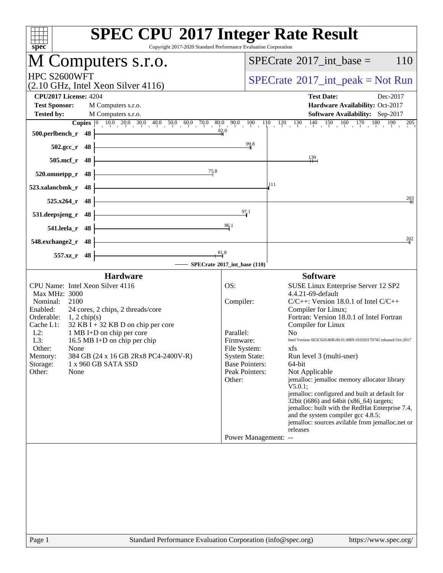| Copyright 2017-2020 Standard Performance Evaluation Corporation<br>$spec^*$                                                                                                                                                                                                                                                                                                                                                                  | <b>SPEC CPU®2017 Integer Rate Result</b>                                                                                                                                                                                                                                                                                                                                                                                                                                                                                                                                                                                                                                                                                                                                                                                                        |
|----------------------------------------------------------------------------------------------------------------------------------------------------------------------------------------------------------------------------------------------------------------------------------------------------------------------------------------------------------------------------------------------------------------------------------------------|-------------------------------------------------------------------------------------------------------------------------------------------------------------------------------------------------------------------------------------------------------------------------------------------------------------------------------------------------------------------------------------------------------------------------------------------------------------------------------------------------------------------------------------------------------------------------------------------------------------------------------------------------------------------------------------------------------------------------------------------------------------------------------------------------------------------------------------------------|
| M Computers s.r.o.                                                                                                                                                                                                                                                                                                                                                                                                                           | $SPECrate^{\circledast}2017\_int\_base =$<br>110                                                                                                                                                                                                                                                                                                                                                                                                                                                                                                                                                                                                                                                                                                                                                                                                |
| HPC S2600WFT<br>$(2.10 \text{ GHz}, \text{Intel Xeon Silver } 4116)$                                                                                                                                                                                                                                                                                                                                                                         | $SPECrate^{\circledast}2017\_int\_peak = Not Run$                                                                                                                                                                                                                                                                                                                                                                                                                                                                                                                                                                                                                                                                                                                                                                                               |
| <b>CPU2017 License: 4204</b>                                                                                                                                                                                                                                                                                                                                                                                                                 | <b>Test Date:</b><br>Dec-2017                                                                                                                                                                                                                                                                                                                                                                                                                                                                                                                                                                                                                                                                                                                                                                                                                   |
| <b>Test Sponsor:</b><br>M Computers s.r.o.<br><b>Tested by:</b><br>M Computers s.r.o.                                                                                                                                                                                                                                                                                                                                                        | Hardware Availability: Oct-2017<br>Software Availability: Sep-2017                                                                                                                                                                                                                                                                                                                                                                                                                                                                                                                                                                                                                                                                                                                                                                              |
|                                                                                                                                                                                                                                                                                                                                                                                                                                              | 150<br>$160$ $170$ $180$<br>$120 - 130$<br>$\frac{140}{1}$<br>190<br>205                                                                                                                                                                                                                                                                                                                                                                                                                                                                                                                                                                                                                                                                                                                                                                        |
| 500.perlbench_r<br>-48                                                                                                                                                                                                                                                                                                                                                                                                                       | 82.0                                                                                                                                                                                                                                                                                                                                                                                                                                                                                                                                                                                                                                                                                                                                                                                                                                            |
| $502.\text{gcc}_r$<br>48                                                                                                                                                                                                                                                                                                                                                                                                                     | 99.8                                                                                                                                                                                                                                                                                                                                                                                                                                                                                                                                                                                                                                                                                                                                                                                                                                            |
| 505.mcf_r<br>48                                                                                                                                                                                                                                                                                                                                                                                                                              | 139                                                                                                                                                                                                                                                                                                                                                                                                                                                                                                                                                                                                                                                                                                                                                                                                                                             |
| 75.8<br>520.omnetpp_r<br>48                                                                                                                                                                                                                                                                                                                                                                                                                  |                                                                                                                                                                                                                                                                                                                                                                                                                                                                                                                                                                                                                                                                                                                                                                                                                                                 |
| 48<br>523.xalancbmk_r                                                                                                                                                                                                                                                                                                                                                                                                                        | 111                                                                                                                                                                                                                                                                                                                                                                                                                                                                                                                                                                                                                                                                                                                                                                                                                                             |
| 525.x264_r<br>48                                                                                                                                                                                                                                                                                                                                                                                                                             | 203                                                                                                                                                                                                                                                                                                                                                                                                                                                                                                                                                                                                                                                                                                                                                                                                                                             |
| 531.deepsjeng_r<br>48                                                                                                                                                                                                                                                                                                                                                                                                                        | 97.1                                                                                                                                                                                                                                                                                                                                                                                                                                                                                                                                                                                                                                                                                                                                                                                                                                            |
| 541.leela_r<br>48                                                                                                                                                                                                                                                                                                                                                                                                                            | 86.1                                                                                                                                                                                                                                                                                                                                                                                                                                                                                                                                                                                                                                                                                                                                                                                                                                            |
| 548.exchange2_r<br>48                                                                                                                                                                                                                                                                                                                                                                                                                        | 202                                                                                                                                                                                                                                                                                                                                                                                                                                                                                                                                                                                                                                                                                                                                                                                                                                             |
| 557.xz_r<br>- 48                                                                                                                                                                                                                                                                                                                                                                                                                             | $\frac{81}{4}$                                                                                                                                                                                                                                                                                                                                                                                                                                                                                                                                                                                                                                                                                                                                                                                                                                  |
|                                                                                                                                                                                                                                                                                                                                                                                                                                              | SPECrate®2017_int_base (110)                                                                                                                                                                                                                                                                                                                                                                                                                                                                                                                                                                                                                                                                                                                                                                                                                    |
| <b>Hardware</b><br>CPU Name: Intel Xeon Silver 4116<br>Max MHz: 3000<br>2100<br>Nominal:<br>Enabled:<br>24 cores, 2 chips, 2 threads/core<br>Orderable:<br>$1, 2$ chip(s)<br>32 KB $\bar{I}$ + 32 KB D on chip per core<br>Cache L1:<br>$L2$ :<br>1 MB I+D on chip per core<br>L3:<br>16.5 MB I+D on chip per chip<br>Other:<br>None<br>384 GB (24 x 16 GB 2Rx8 PC4-2400V-R)<br>Memory:<br>1 x 960 GB SATA SSD<br>Storage:<br>Other:<br>None | <b>Software</b><br>OS:<br>SUSE Linux Enterprise Server 12 SP2<br>4.4.21-69-default<br>Compiler:<br>$C/C++$ : Version 18.0.1 of Intel $C/C++$<br>Compiler for Linux;<br>Fortran: Version 18.0.1 of Intel Fortran<br>Compiler for Linux<br>Parallel:<br>No<br>Intel Version SE5C620.86B.00.01.0009.101920170742 released Oct-2017<br>Firmware:<br>File System:<br>xfs<br><b>System State:</b><br>Run level 3 (multi-user)<br><b>Base Pointers:</b><br>64-bit<br>Peak Pointers:<br>Not Applicable<br>jemalloc: jemalloc memory allocator library<br>Other:<br>V5.0.1;<br>jemalloc: configured and built at default for<br>32bit (i686) and 64bit (x86_64) targets;<br>jemalloc: built with the RedHat Enterprise 7.4,<br>and the system compiler gcc 4.8.5;<br>jemalloc: sources avilable from jemalloc.net or<br>releases<br>Power Management: -- |
|                                                                                                                                                                                                                                                                                                                                                                                                                                              |                                                                                                                                                                                                                                                                                                                                                                                                                                                                                                                                                                                                                                                                                                                                                                                                                                                 |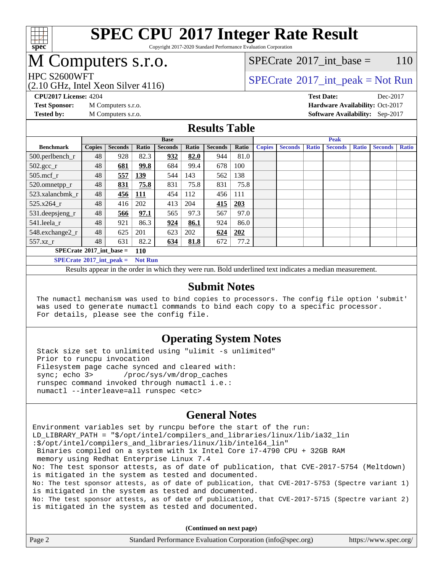

Copyright 2017-2020 Standard Performance Evaluation Corporation

# M Computers s.r.o.

### [SPECrate](http://www.spec.org/auto/cpu2017/Docs/result-fields.html#SPECrate2017intbase)<sup>®</sup>2017 int base = 110

(2.10 GHz, Intel Xeon Silver 4116)

HPC S2600WFT<br>  $\begin{array}{c}\n\text{SPECTate}^{\circ}2017\text{ int peak} = \text{Not Run} \\
\text{SPECTate}^{\circ}2017\text{ int peak} = \text{Not Run} \\
\end{array}$ 

**[CPU2017 License:](http://www.spec.org/auto/cpu2017/Docs/result-fields.html#CPU2017License)** 4204 **[Test Date:](http://www.spec.org/auto/cpu2017/Docs/result-fields.html#TestDate)** Dec-2017 **[Test Sponsor:](http://www.spec.org/auto/cpu2017/Docs/result-fields.html#TestSponsor)** M Computers s.r.o. **[Hardware Availability:](http://www.spec.org/auto/cpu2017/Docs/result-fields.html#HardwareAvailability)** Oct-2017 **[Tested by:](http://www.spec.org/auto/cpu2017/Docs/result-fields.html#Testedby)** M Computers s.r.o. **[Software Availability:](http://www.spec.org/auto/cpu2017/Docs/result-fields.html#SoftwareAvailability)** Sep-2017

### **[Results Table](http://www.spec.org/auto/cpu2017/Docs/result-fields.html#ResultsTable)**

|                                     | <b>Base</b>   |                |            |                |       | <b>Peak</b>    |       |               |                |              |                |              |                |              |
|-------------------------------------|---------------|----------------|------------|----------------|-------|----------------|-------|---------------|----------------|--------------|----------------|--------------|----------------|--------------|
| <b>Benchmark</b>                    | <b>Copies</b> | <b>Seconds</b> | Ratio      | <b>Seconds</b> | Ratio | <b>Seconds</b> | Ratio | <b>Copies</b> | <b>Seconds</b> | <b>Ratio</b> | <b>Seconds</b> | <b>Ratio</b> | <b>Seconds</b> | <b>Ratio</b> |
| 500.perlbench_r                     | 48            | 928            | 82.3       | 932            | 82.0  | 944            | 81.0  |               |                |              |                |              |                |              |
| $502.\text{sec}$                    | 48            | 681            | 99.8       | 684            | 99.4  | 678            | 100   |               |                |              |                |              |                |              |
| $505$ .mcf r                        | 48            | 557            | 139        | 544            | 143   | 562            | 138   |               |                |              |                |              |                |              |
| 520.omnetpp_r                       | 48            | 831            | 75.8       | 831            | 75.8  | 831            | 75.8  |               |                |              |                |              |                |              |
| 523.xalancbmk r                     | 48            | 456            | <b>111</b> | 454            | 112   | 456            | 111   |               |                |              |                |              |                |              |
| $525.x264$ r                        | 48            | 416            | 202        | 413            | 204   | 415            | 203   |               |                |              |                |              |                |              |
| $531.$ deepsjeng $_r$               | 48            | 566            | 97.1       | 565            | 97.3  | 567            | 97.0  |               |                |              |                |              |                |              |
| 541.leela r                         | 48            | 921            | 86.3       | 924            | 86.1  | 924            | 86.0  |               |                |              |                |              |                |              |
| 548.exchange2_r                     | 48            | 625            | 201        | 623            | 202   | 624            | 202   |               |                |              |                |              |                |              |
| 557.xz r                            | 48            | 631            | 82.2       | 634            | 81.8  | 672            | 77.2  |               |                |              |                |              |                |              |
| $SPECrate^{\circ}2017$ int base =   |               |                | <b>110</b> |                |       |                |       |               |                |              |                |              |                |              |
| $SPECrate^{\circ}2017\_int\_peak =$ |               | <b>Not Run</b> |            |                |       |                |       |               |                |              |                |              |                |              |

Results appear in the [order in which they were run.](http://www.spec.org/auto/cpu2017/Docs/result-fields.html#RunOrder) Bold underlined text [indicates a median measurement.](http://www.spec.org/auto/cpu2017/Docs/result-fields.html#Median)

#### **[Submit Notes](http://www.spec.org/auto/cpu2017/Docs/result-fields.html#SubmitNotes)**

 The numactl mechanism was used to bind copies to processors. The config file option 'submit' was used to generate numactl commands to bind each copy to a specific processor. For details, please see the config file.

### **[Operating System Notes](http://www.spec.org/auto/cpu2017/Docs/result-fields.html#OperatingSystemNotes)**

 Stack size set to unlimited using "ulimit -s unlimited" Prior to runcpu invocation Filesystem page cache synced and cleared with: sync; echo 3> /proc/sys/vm/drop\_caches runspec command invoked through numactl i.e.: numactl --interleave=all runspec <etc>

### **[General Notes](http://www.spec.org/auto/cpu2017/Docs/result-fields.html#GeneralNotes)**

Environment variables set by runcpu before the start of the run: LD\_LIBRARY\_PATH = "\$/opt/intel/compilers\_and\_libraries/linux/lib/ia32\_lin :\$/opt/intel/compilers\_and\_libraries/linux/lib/intel64\_lin" Binaries compiled on a system with 1x Intel Core i7-4790 CPU + 32GB RAM memory using Redhat Enterprise Linux 7.4 No: The test sponsor attests, as of date of publication, that CVE-2017-5754 (Meltdown) is mitigated in the system as tested and documented. No: The test sponsor attests, as of date of publication, that CVE-2017-5753 (Spectre variant 1) is mitigated in the system as tested and documented. No: The test sponsor attests, as of date of publication, that CVE-2017-5715 (Spectre variant 2) is mitigated in the system as tested and documented.

**(Continued on next page)**

| Page 2 | Standard Performance Evaluation Corporation (info@spec.org) | https://www.spec.org/ |
|--------|-------------------------------------------------------------|-----------------------|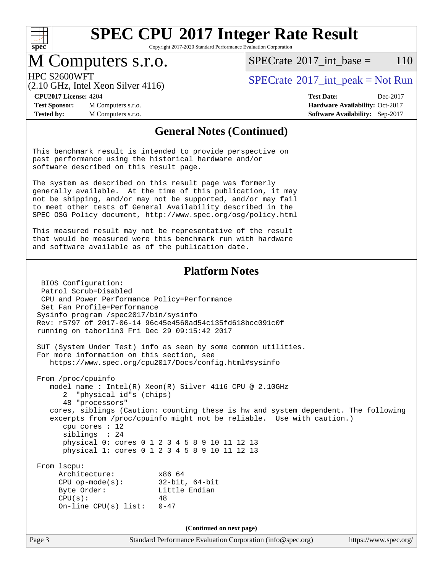

Copyright 2017-2020 Standard Performance Evaluation Corporation

## M Computers s.r.o.

 $SPECTate^{\circledcirc}2017$  int base = 110

(2.10 GHz, Intel Xeon Silver 4116)

HPC S2600WFT<br>  $SPECrate^{\circ}2017$  $SPECrate^{\circ}2017$  int peak = Not Run

**[Test Sponsor:](http://www.spec.org/auto/cpu2017/Docs/result-fields.html#TestSponsor)** M Computers s.r.o. **[Hardware Availability:](http://www.spec.org/auto/cpu2017/Docs/result-fields.html#HardwareAvailability)** Oct-2017 **[Tested by:](http://www.spec.org/auto/cpu2017/Docs/result-fields.html#Testedby)** M Computers s.r.o. **[Software Availability:](http://www.spec.org/auto/cpu2017/Docs/result-fields.html#SoftwareAvailability)** Sep-2017

**[CPU2017 License:](http://www.spec.org/auto/cpu2017/Docs/result-fields.html#CPU2017License)** 4204 **[Test Date:](http://www.spec.org/auto/cpu2017/Docs/result-fields.html#TestDate)** Dec-2017

### **[General Notes \(Continued\)](http://www.spec.org/auto/cpu2017/Docs/result-fields.html#GeneralNotes)**

This benchmark result is intended to provide perspective on past performance using the historical hardware and/or software described on this result page.

The system as described on this result page was formerly generally available. At the time of this publication, it may not be shipping, and/or may not be supported, and/or may fail to meet other tests of General Availability described in the SPEC OSG Policy document, <http://www.spec.org/osg/policy.html>

This measured result may not be representative of the result that would be measured were this benchmark run with hardware and software available as of the publication date.

### **[Platform Notes](http://www.spec.org/auto/cpu2017/Docs/result-fields.html#PlatformNotes)**

Page 3 Standard Performance Evaluation Corporation [\(info@spec.org\)](mailto:info@spec.org) <https://www.spec.org/> BIOS Configuration: Patrol Scrub=Disabled CPU and Power Performance Policy=Performance Set Fan Profile=Performance Sysinfo program /spec2017/bin/sysinfo Rev: r5797 of 2017-06-14 96c45e4568ad54c135fd618bcc091c0f running on taborlin3 Fri Dec 29 09:15:42 2017 SUT (System Under Test) info as seen by some common utilities. For more information on this section, see <https://www.spec.org/cpu2017/Docs/config.html#sysinfo> From /proc/cpuinfo model name : Intel(R) Xeon(R) Silver 4116 CPU @ 2.10GHz 2 "physical id"s (chips) 48 "processors" cores, siblings (Caution: counting these is hw and system dependent. The following excerpts from /proc/cpuinfo might not be reliable. Use with caution.) cpu cores : 12 siblings : 24 physical 0: cores 0 1 2 3 4 5 8 9 10 11 12 13 physical 1: cores 0 1 2 3 4 5 8 9 10 11 12 13 From lscpu: Architecture: x86\_64 CPU op-mode(s): 32-bit, 64-bit Byte Order: Little Endian  $CPU(s):$  48 On-line CPU(s) list: 0-47 **(Continued on next page)**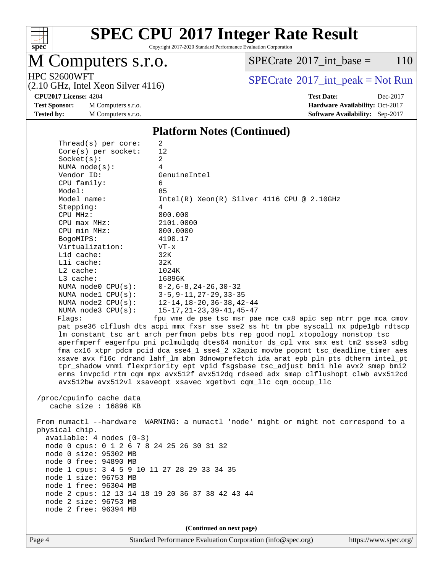

Copyright 2017-2020 Standard Performance Evaluation Corporation

# M Computers s.r.o.

 $Thmend(a)$  per core:

 $SPECTate$ <sup>®</sup>[2017\\_int\\_base =](http://www.spec.org/auto/cpu2017/Docs/result-fields.html#SPECrate2017intbase) 110

(2.10 GHz, Intel Xeon Silver 4116)

HPC S2600WFT<br>  $\begin{array}{c}\n\text{SPECTate}^{\circ}2017\text{ int\_peak} = \text{Not Run} \\
\text{SPECTate}^{\circ}2017\text{ int\_peak} = \text{Not Run} \\
\end{array}$ 

**[CPU2017 License:](http://www.spec.org/auto/cpu2017/Docs/result-fields.html#CPU2017License)** 4204 **[Test Date:](http://www.spec.org/auto/cpu2017/Docs/result-fields.html#TestDate)** Dec-2017

**[Test Sponsor:](http://www.spec.org/auto/cpu2017/Docs/result-fields.html#TestSponsor)** M Computers s.r.o. **[Hardware Availability:](http://www.spec.org/auto/cpu2017/Docs/result-fields.html#HardwareAvailability)** Oct-2017 **[Tested by:](http://www.spec.org/auto/cpu2017/Docs/result-fields.html#Testedby)** M Computers s.r.o. **[Software Availability:](http://www.spec.org/auto/cpu2017/Docs/result-fields.html#SoftwareAvailability)** Sep-2017

#### **[Platform Notes \(Continued\)](http://www.spec.org/auto/cpu2017/Docs/result-fields.html#PlatformNotes)**

| THE CAULS! NET COTE.                             |                                                                                      |
|--------------------------------------------------|--------------------------------------------------------------------------------------|
| $Core(s)$ per socket:                            | 12                                                                                   |
| Socket(s):                                       | $\overline{2}$                                                                       |
| NUMA $node(s)$ :                                 | 4                                                                                    |
| Vendor ID:                                       | GenuineIntel                                                                         |
| CPU family:                                      | 6                                                                                    |
| Model:                                           | 85                                                                                   |
| Model name:                                      | $Intel(R) Xeon(R) Silver 4116 CPU @ 2.10GHz$                                         |
| Stepping:                                        | 4                                                                                    |
| CPU MHz:                                         | 800.000                                                                              |
| CPU max MHz:                                     | 2101.0000                                                                            |
| CPU min MHz:                                     | 800.0000                                                                             |
| BogoMIPS:                                        | 4190.17                                                                              |
| Virtualization:                                  | VT-x                                                                                 |
| L1d cache:                                       | 32K                                                                                  |
| Lli cache:                                       | 32K                                                                                  |
| L2 cache:                                        | 1024K                                                                                |
|                                                  |                                                                                      |
| L3 cache:                                        | 16896K                                                                               |
| NUMA node0 CPU(s):                               | $0 - 2$ , 6 – 8, 24 – 26, 30 – 32<br>NUMA nodel $CPU(s):$ 3-5, 9-11, 27-29, 33-35    |
|                                                  |                                                                                      |
| NUMA $node2$ $CPU(s):$                           | $12 - 14$ , $18 - 20$ , $36 - 38$ , $42 - 44$                                        |
| NUMA $node3$ CPU $(s)$ :                         | $15 - 17, 21 - 23, 39 - 41, 45 - 47$                                                 |
| Flags:                                           | fpu vme de pse tsc msr pae mce cx8 apic sep mtrr pge mca cmov                        |
|                                                  | pat pse36 clflush dts acpi mmx fxsr sse sse2 ss ht tm pbe syscall nx pdpe1gb rdtscp  |
|                                                  | lm constant_tsc art arch_perfmon pebs bts rep_good nopl xtopology nonstop_tsc        |
|                                                  | aperfmperf eagerfpu pni pclmulqdq dtes64 monitor ds_cpl vmx smx est tm2 ssse3 sdbg   |
|                                                  | fma cx16 xtpr pdcm pcid dca sse4_1 sse4_2 x2apic movbe popcnt tsc_deadline_timer aes |
|                                                  | xsave avx f16c rdrand lahf_lm abm 3dnowprefetch ida arat epb pln pts dtherm intel_pt |
|                                                  | tpr_shadow vnmi flexpriority ept vpid fsgsbase tsc_adjust bmil hle avx2 smep bmi2    |
|                                                  | erms invpcid rtm cqm mpx avx512f avx512dq rdseed adx smap clflushopt clwb avx512cd   |
|                                                  | avx512bw avx512vl xsaveopt xsavec xgetbvl cqm_llc cqm_occup_llc                      |
|                                                  |                                                                                      |
| /proc/cpuinfo cache data                         |                                                                                      |
| cache size $: 16896$ KB                          |                                                                                      |
|                                                  |                                                                                      |
|                                                  | From numactl --hardware WARNING: a numactl 'node' might or might not correspond to a |
| physical chip.                                   |                                                                                      |
| available: $4$ nodes $(0-3)$                     |                                                                                      |
| node 0 cpus: 0 1 2 6 7 8 24 25 26 30 31 32       |                                                                                      |
| node 0 size: 95302 MB                            |                                                                                      |
| node 0 free: 94890 MB                            |                                                                                      |
| node 1 cpus: 3 4 5 9 10 11 27 28 29 33 34 35     |                                                                                      |
| node 1 size: 96753 MB                            |                                                                                      |
| node 1 free: 96304 MB                            |                                                                                      |
| node 2 cpus: 12 13 14 18 19 20 36 37 38 42 43 44 |                                                                                      |
| node 2 size: 96753 MB                            |                                                                                      |
| node 2 free: 96394 MB                            |                                                                                      |
|                                                  |                                                                                      |
|                                                  |                                                                                      |
|                                                  | (Continued on next page)                                                             |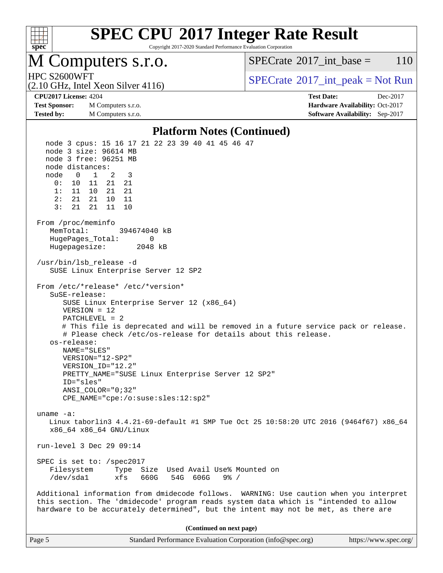

Copyright 2017-2020 Standard Performance Evaluation Corporation

### M Computers s.r.o.

 $SPECTate^{\circledcirc}2017$  int base = 110

(2.10 GHz, Intel Xeon Silver 4116)

HPC S2600WFT<br>  $\begin{array}{c}\n\text{SPECTate}^{\circ}2017\text{ int peak} = \text{Not Run} \\
\text{SPECTate}^{\circ}2017\text{ int peak} = \text{Not Run} \\
\end{array}$ 

**[Test Sponsor:](http://www.spec.org/auto/cpu2017/Docs/result-fields.html#TestSponsor)** M Computers s.r.o. **[Hardware Availability:](http://www.spec.org/auto/cpu2017/Docs/result-fields.html#HardwareAvailability)** Oct-2017 **[Tested by:](http://www.spec.org/auto/cpu2017/Docs/result-fields.html#Testedby)** M Computers s.r.o. **[Software Availability:](http://www.spec.org/auto/cpu2017/Docs/result-fields.html#SoftwareAvailability)** Sep-2017

**[CPU2017 License:](http://www.spec.org/auto/cpu2017/Docs/result-fields.html#CPU2017License)** 4204 **[Test Date:](http://www.spec.org/auto/cpu2017/Docs/result-fields.html#TestDate)** Dec-2017

#### **[Platform Notes \(Continued\)](http://www.spec.org/auto/cpu2017/Docs/result-fields.html#PlatformNotes)**

 node 3 cpus: 15 16 17 21 22 23 39 40 41 45 46 47 node 3 size: 96614 MB node 3 free: 96251 MB node distances: node 0 1 2 3 0: 10 11 21 21 1: 11 10 21 21 2: 21 21 10 11 3: 21 21 11 10 From /proc/meminfo MemTotal: 394674040 kB HugePages\_Total: 0 Hugepagesize: 2048 kB /usr/bin/lsb\_release -d SUSE Linux Enterprise Server 12 SP2 From /etc/\*release\* /etc/\*version\* SuSE-release: SUSE Linux Enterprise Server 12 (x86\_64) VERSION = 12 PATCHLEVEL = 2 # This file is deprecated and will be removed in a future service pack or release. # Please check /etc/os-release for details about this release. os-release: NAME="SLES" VERSION="12-SP2" VERSION\_ID="12.2" PRETTY\_NAME="SUSE Linux Enterprise Server 12 SP2" ID="sles" ANSI\_COLOR="0;32" CPE\_NAME="cpe:/o:suse:sles:12:sp2" uname -a: Linux taborlin3 4.4.21-69-default #1 SMP Tue Oct 25 10:58:20 UTC 2016 (9464f67) x86\_64 x86\_64 x86\_64 GNU/Linux run-level 3 Dec 29 09:14 SPEC is set to: /spec2017 Filesystem Type Size Used Avail Use% Mounted on<br>
/dev/sdal xfs 660G 54G 606G 9% / /dev/sda1 xfs 660G 54G 606G Additional information from dmidecode follows. WARNING: Use caution when you interpret this section. The 'dmidecode' program reads system data which is "intended to allow hardware to be accurately determined", but the intent may not be met, as there are **(Continued on next page)**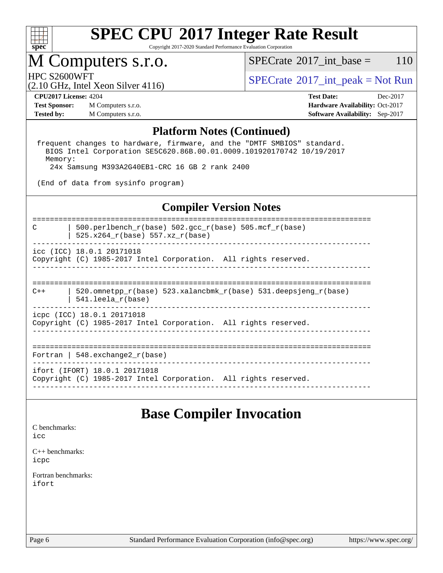

Copyright 2017-2020 Standard Performance Evaluation Corporation

# M Computers s.r.o.<br>HPC S2600WFT

 $SPECTate^{\circledcirc}2017$  int base = 110

 $SPECTate$ <sup>®</sup>[2017\\_int\\_peak = N](http://www.spec.org/auto/cpu2017/Docs/result-fields.html#SPECrate2017intpeak)ot Run

# (2.10 GHz, Intel Xeon Silver 4116)

**[Test Sponsor:](http://www.spec.org/auto/cpu2017/Docs/result-fields.html#TestSponsor)** M Computers s.r.o. **[Hardware Availability:](http://www.spec.org/auto/cpu2017/Docs/result-fields.html#HardwareAvailability)** Oct-2017 **[Tested by:](http://www.spec.org/auto/cpu2017/Docs/result-fields.html#Testedby)** M Computers s.r.o. **[Software Availability:](http://www.spec.org/auto/cpu2017/Docs/result-fields.html#SoftwareAvailability)** Sep-2017

**[CPU2017 License:](http://www.spec.org/auto/cpu2017/Docs/result-fields.html#CPU2017License)** 4204 **[Test Date:](http://www.spec.org/auto/cpu2017/Docs/result-fields.html#TestDate)** Dec-2017

#### **[Platform Notes \(Continued\)](http://www.spec.org/auto/cpu2017/Docs/result-fields.html#PlatformNotes)**

 frequent changes to hardware, firmware, and the "DMTF SMBIOS" standard. BIOS Intel Corporation SE5C620.86B.00.01.0009.101920170742 10/19/2017 Memory: 24x Samsung M393A2G40EB1-CRC 16 GB 2 rank 2400

(End of data from sysinfo program)

### **[Compiler Version Notes](http://www.spec.org/auto/cpu2017/Docs/result-fields.html#CompilerVersionNotes)**

============================================================================== C | 500.perlbench\_r(base) 502.gcc\_r(base) 505.mcf\_r(base) |  $525.x264_r(base) 557.xz_r(base)$ ----------------------------------------------------------------------------- icc (ICC) 18.0.1 20171018 Copyright (C) 1985-2017 Intel Corporation. All rights reserved. ------------------------------------------------------------------------------ ============================================================================== C++ | 520.omnetpp  $r(base)$  523.xalancbmk  $r(base)$  531.deepsjeng  $r(base)$  | 541.leela\_r(base) ----------------------------------------------------------------------------- icpc (ICC) 18.0.1 20171018 Copyright (C) 1985-2017 Intel Corporation. All rights reserved. ------------------------------------------------------------------------------ ============================================================================== Fortran | 548.exchange2\_r(base) ----------------------------------------------------------------------------- ifort (IFORT) 18.0.1 20171018 Copyright (C) 1985-2017 Intel Corporation. All rights reserved. ------------------------------------------------------------------------------

### **[Base Compiler Invocation](http://www.spec.org/auto/cpu2017/Docs/result-fields.html#BaseCompilerInvocation)**

[C benchmarks](http://www.spec.org/auto/cpu2017/Docs/result-fields.html#Cbenchmarks):  $i$ cc

[C++ benchmarks:](http://www.spec.org/auto/cpu2017/Docs/result-fields.html#CXXbenchmarks) [icpc](http://www.spec.org/cpu2017/results/res2018q1/cpu2017-20171230-02415.flags.html#user_CXXbase_intel_icpc_18.0_c510b6838c7f56d33e37e94d029a35b4a7bccf4766a728ee175e80a419847e808290a9b78be685c44ab727ea267ec2f070ec5dc83b407c0218cded6866a35d07)

[Fortran benchmarks](http://www.spec.org/auto/cpu2017/Docs/result-fields.html#Fortranbenchmarks): [ifort](http://www.spec.org/cpu2017/results/res2018q1/cpu2017-20171230-02415.flags.html#user_FCbase_intel_ifort_18.0_8111460550e3ca792625aed983ce982f94888b8b503583aa7ba2b8303487b4d8a21a13e7191a45c5fd58ff318f48f9492884d4413fa793fd88dd292cad7027ca)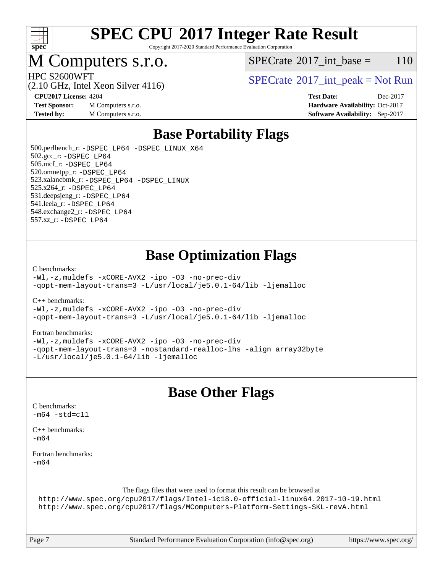

Copyright 2017-2020 Standard Performance Evaluation Corporation

### M Computers s.r.o.

 $SPECTate@2017\_int\_base = 110$ 

HPC S2600WFT<br>  $\begin{array}{c} \text{SPECTate} \textcircled{2017\_int\_peak} = \text{Not Run} \end{array}$ 

(2.10 GHz, Intel Xeon Silver 4116)

**[Test Sponsor:](http://www.spec.org/auto/cpu2017/Docs/result-fields.html#TestSponsor)** M Computers s.r.o. **[Hardware Availability:](http://www.spec.org/auto/cpu2017/Docs/result-fields.html#HardwareAvailability)** Oct-2017

**[CPU2017 License:](http://www.spec.org/auto/cpu2017/Docs/result-fields.html#CPU2017License)** 4204 **[Test Date:](http://www.spec.org/auto/cpu2017/Docs/result-fields.html#TestDate)** Dec-2017 **[Tested by:](http://www.spec.org/auto/cpu2017/Docs/result-fields.html#Testedby)** M Computers s.r.o. **[Software Availability:](http://www.spec.org/auto/cpu2017/Docs/result-fields.html#SoftwareAvailability)** Sep-2017

## **[Base Portability Flags](http://www.spec.org/auto/cpu2017/Docs/result-fields.html#BasePortabilityFlags)**

 500.perlbench\_r: [-DSPEC\\_LP64](http://www.spec.org/cpu2017/results/res2018q1/cpu2017-20171230-02415.flags.html#b500.perlbench_r_basePORTABILITY_DSPEC_LP64) [-DSPEC\\_LINUX\\_X64](http://www.spec.org/cpu2017/results/res2018q1/cpu2017-20171230-02415.flags.html#b500.perlbench_r_baseCPORTABILITY_DSPEC_LINUX_X64) 502.gcc\_r: [-DSPEC\\_LP64](http://www.spec.org/cpu2017/results/res2018q1/cpu2017-20171230-02415.flags.html#suite_basePORTABILITY502_gcc_r_DSPEC_LP64) 505.mcf\_r: [-DSPEC\\_LP64](http://www.spec.org/cpu2017/results/res2018q1/cpu2017-20171230-02415.flags.html#suite_basePORTABILITY505_mcf_r_DSPEC_LP64) 520.omnetpp\_r: [-DSPEC\\_LP64](http://www.spec.org/cpu2017/results/res2018q1/cpu2017-20171230-02415.flags.html#suite_basePORTABILITY520_omnetpp_r_DSPEC_LP64) 523.xalancbmk\_r: [-DSPEC\\_LP64](http://www.spec.org/cpu2017/results/res2018q1/cpu2017-20171230-02415.flags.html#suite_basePORTABILITY523_xalancbmk_r_DSPEC_LP64) [-DSPEC\\_LINUX](http://www.spec.org/cpu2017/results/res2018q1/cpu2017-20171230-02415.flags.html#b523.xalancbmk_r_baseCXXPORTABILITY_DSPEC_LINUX) 525.x264\_r: [-DSPEC\\_LP64](http://www.spec.org/cpu2017/results/res2018q1/cpu2017-20171230-02415.flags.html#suite_basePORTABILITY525_x264_r_DSPEC_LP64) 531.deepsjeng\_r: [-DSPEC\\_LP64](http://www.spec.org/cpu2017/results/res2018q1/cpu2017-20171230-02415.flags.html#suite_basePORTABILITY531_deepsjeng_r_DSPEC_LP64) 541.leela\_r: [-DSPEC\\_LP64](http://www.spec.org/cpu2017/results/res2018q1/cpu2017-20171230-02415.flags.html#suite_basePORTABILITY541_leela_r_DSPEC_LP64) 548.exchange2\_r: [-DSPEC\\_LP64](http://www.spec.org/cpu2017/results/res2018q1/cpu2017-20171230-02415.flags.html#suite_basePORTABILITY548_exchange2_r_DSPEC_LP64) 557.xz\_r: [-DSPEC\\_LP64](http://www.spec.org/cpu2017/results/res2018q1/cpu2017-20171230-02415.flags.html#suite_basePORTABILITY557_xz_r_DSPEC_LP64)

### **[Base Optimization Flags](http://www.spec.org/auto/cpu2017/Docs/result-fields.html#BaseOptimizationFlags)**

#### [C benchmarks](http://www.spec.org/auto/cpu2017/Docs/result-fields.html#Cbenchmarks):

[-Wl,-z,muldefs](http://www.spec.org/cpu2017/results/res2018q1/cpu2017-20171230-02415.flags.html#user_CCbase_link_force_multiple1_b4cbdb97b34bdee9ceefcfe54f4c8ea74255f0b02a4b23e853cdb0e18eb4525ac79b5a88067c842dd0ee6996c24547a27a4b99331201badda8798ef8a743f577) [-xCORE-AVX2](http://www.spec.org/cpu2017/results/res2018q1/cpu2017-20171230-02415.flags.html#user_CCbase_f-xCORE-AVX2) [-ipo](http://www.spec.org/cpu2017/results/res2018q1/cpu2017-20171230-02415.flags.html#user_CCbase_f-ipo) [-O3](http://www.spec.org/cpu2017/results/res2018q1/cpu2017-20171230-02415.flags.html#user_CCbase_f-O3) [-no-prec-div](http://www.spec.org/cpu2017/results/res2018q1/cpu2017-20171230-02415.flags.html#user_CCbase_f-no-prec-div) [-qopt-mem-layout-trans=3](http://www.spec.org/cpu2017/results/res2018q1/cpu2017-20171230-02415.flags.html#user_CCbase_f-qopt-mem-layout-trans_de80db37974c74b1f0e20d883f0b675c88c3b01e9d123adea9b28688d64333345fb62bc4a798493513fdb68f60282f9a726aa07f478b2f7113531aecce732043) [-L/usr/local/je5.0.1-64/lib](http://www.spec.org/cpu2017/results/res2018q1/cpu2017-20171230-02415.flags.html#user_CCbase_jemalloc_link_path64_4b10a636b7bce113509b17f3bd0d6226c5fb2346b9178c2d0232c14f04ab830f976640479e5c33dc2bcbbdad86ecfb6634cbbd4418746f06f368b512fced5394) [-ljemalloc](http://www.spec.org/cpu2017/results/res2018q1/cpu2017-20171230-02415.flags.html#user_CCbase_jemalloc_link_lib_d1249b907c500fa1c0672f44f562e3d0f79738ae9e3c4a9c376d49f265a04b9c99b167ecedbf6711b3085be911c67ff61f150a17b3472be731631ba4d0471706)

[C++ benchmarks:](http://www.spec.org/auto/cpu2017/Docs/result-fields.html#CXXbenchmarks)

[-Wl,-z,muldefs](http://www.spec.org/cpu2017/results/res2018q1/cpu2017-20171230-02415.flags.html#user_CXXbase_link_force_multiple1_b4cbdb97b34bdee9ceefcfe54f4c8ea74255f0b02a4b23e853cdb0e18eb4525ac79b5a88067c842dd0ee6996c24547a27a4b99331201badda8798ef8a743f577) [-xCORE-AVX2](http://www.spec.org/cpu2017/results/res2018q1/cpu2017-20171230-02415.flags.html#user_CXXbase_f-xCORE-AVX2) [-ipo](http://www.spec.org/cpu2017/results/res2018q1/cpu2017-20171230-02415.flags.html#user_CXXbase_f-ipo) [-O3](http://www.spec.org/cpu2017/results/res2018q1/cpu2017-20171230-02415.flags.html#user_CXXbase_f-O3) [-no-prec-div](http://www.spec.org/cpu2017/results/res2018q1/cpu2017-20171230-02415.flags.html#user_CXXbase_f-no-prec-div) [-qopt-mem-layout-trans=3](http://www.spec.org/cpu2017/results/res2018q1/cpu2017-20171230-02415.flags.html#user_CXXbase_f-qopt-mem-layout-trans_de80db37974c74b1f0e20d883f0b675c88c3b01e9d123adea9b28688d64333345fb62bc4a798493513fdb68f60282f9a726aa07f478b2f7113531aecce732043) [-L/usr/local/je5.0.1-64/lib](http://www.spec.org/cpu2017/results/res2018q1/cpu2017-20171230-02415.flags.html#user_CXXbase_jemalloc_link_path64_4b10a636b7bce113509b17f3bd0d6226c5fb2346b9178c2d0232c14f04ab830f976640479e5c33dc2bcbbdad86ecfb6634cbbd4418746f06f368b512fced5394) [-ljemalloc](http://www.spec.org/cpu2017/results/res2018q1/cpu2017-20171230-02415.flags.html#user_CXXbase_jemalloc_link_lib_d1249b907c500fa1c0672f44f562e3d0f79738ae9e3c4a9c376d49f265a04b9c99b167ecedbf6711b3085be911c67ff61f150a17b3472be731631ba4d0471706)

#### [Fortran benchmarks](http://www.spec.org/auto/cpu2017/Docs/result-fields.html#Fortranbenchmarks):

[-Wl,-z,muldefs](http://www.spec.org/cpu2017/results/res2018q1/cpu2017-20171230-02415.flags.html#user_FCbase_link_force_multiple1_b4cbdb97b34bdee9ceefcfe54f4c8ea74255f0b02a4b23e853cdb0e18eb4525ac79b5a88067c842dd0ee6996c24547a27a4b99331201badda8798ef8a743f577) [-xCORE-AVX2](http://www.spec.org/cpu2017/results/res2018q1/cpu2017-20171230-02415.flags.html#user_FCbase_f-xCORE-AVX2) [-ipo](http://www.spec.org/cpu2017/results/res2018q1/cpu2017-20171230-02415.flags.html#user_FCbase_f-ipo) [-O3](http://www.spec.org/cpu2017/results/res2018q1/cpu2017-20171230-02415.flags.html#user_FCbase_f-O3) [-no-prec-div](http://www.spec.org/cpu2017/results/res2018q1/cpu2017-20171230-02415.flags.html#user_FCbase_f-no-prec-div) [-qopt-mem-layout-trans=3](http://www.spec.org/cpu2017/results/res2018q1/cpu2017-20171230-02415.flags.html#user_FCbase_f-qopt-mem-layout-trans_de80db37974c74b1f0e20d883f0b675c88c3b01e9d123adea9b28688d64333345fb62bc4a798493513fdb68f60282f9a726aa07f478b2f7113531aecce732043) [-nostandard-realloc-lhs](http://www.spec.org/cpu2017/results/res2018q1/cpu2017-20171230-02415.flags.html#user_FCbase_f_2003_std_realloc_82b4557e90729c0f113870c07e44d33d6f5a304b4f63d4c15d2d0f1fab99f5daaed73bdb9275d9ae411527f28b936061aa8b9c8f2d63842963b95c9dd6426b8a) [-align array32byte](http://www.spec.org/cpu2017/results/res2018q1/cpu2017-20171230-02415.flags.html#user_FCbase_align_array32byte_b982fe038af199962ba9a80c053b8342c548c85b40b8e86eb3cc33dee0d7986a4af373ac2d51c3f7cf710a18d62fdce2948f201cd044323541f22fc0fffc51b6) [-L/usr/local/je5.0.1-64/lib](http://www.spec.org/cpu2017/results/res2018q1/cpu2017-20171230-02415.flags.html#user_FCbase_jemalloc_link_path64_4b10a636b7bce113509b17f3bd0d6226c5fb2346b9178c2d0232c14f04ab830f976640479e5c33dc2bcbbdad86ecfb6634cbbd4418746f06f368b512fced5394) [-ljemalloc](http://www.spec.org/cpu2017/results/res2018q1/cpu2017-20171230-02415.flags.html#user_FCbase_jemalloc_link_lib_d1249b907c500fa1c0672f44f562e3d0f79738ae9e3c4a9c376d49f265a04b9c99b167ecedbf6711b3085be911c67ff61f150a17b3472be731631ba4d0471706)

### **[Base Other Flags](http://www.spec.org/auto/cpu2017/Docs/result-fields.html#BaseOtherFlags)**

| C benchmarks:<br>$-m64 - std = c11$                                                                                                                                                                                                       |
|-------------------------------------------------------------------------------------------------------------------------------------------------------------------------------------------------------------------------------------------|
| $C_{++}$ benchmarks:<br>$-m64$                                                                                                                                                                                                            |
| Fortran benchmarks:<br>$-m64$                                                                                                                                                                                                             |
| The flags files that were used to format this result can be browsed at<br>http://www.spec.org/cpu2017/flags/Intel-ic18.0-official-linux64.2017-10-19.html<br>http://www.spec.org/cpu2017/flags/MComputers-Platform-Settings-SKL-revA.html |

Page 7 Standard Performance Evaluation Corporation [\(info@spec.org\)](mailto:info@spec.org) <https://www.spec.org/>